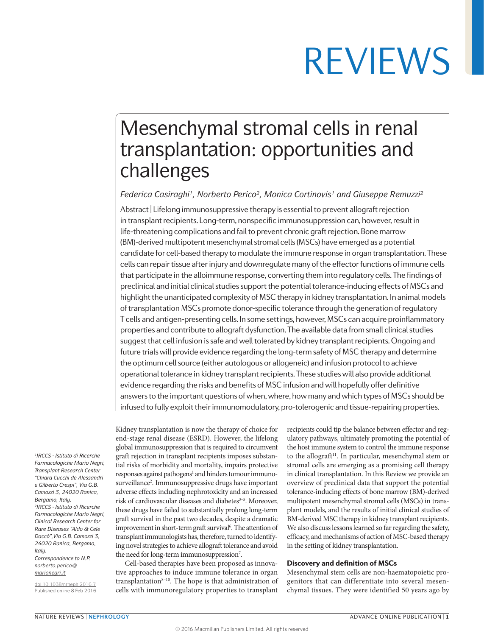## Mesenchymal stromal cells in renal transplantation: opportunities and challenges

*Federica Casiraghi1, Norberto Perico2, Monica Cortinovis1 and Giuseppe Remuzzi2*

Abstract | Lifelong immunosuppressive therapy is essential to prevent allograft rejection in transplant recipients. Long-term, nonspecific immunosuppression can, however, result in life-threatening complications and fail to prevent chronic graft rejection. Bone marrow (BM)-derived multipotent mesenchymal stromal cells (MSCs) have emerged as a potential candidate for cell-based therapy to modulate the immune response in organ transplantation. These cells can repair tissue after injury and downregulate many of the effector functions of immune cells that participate in the alloimmune response, converting them into regulatory cells. The findings of preclinical and initial clinical studies support the potential tolerance-inducing effects of MSCs and highlight the unanticipated complexity of MSC therapy in kidney transplantation. In animal models of transplantation MSCs promote donor-specific tolerance through the generation of regulatory T cells and antigen-presenting cells. In some settings, however, MSCs can acquire proinflammatory properties and contribute to allograft dysfunction. The available data from small clinical studies suggest that cell infusion is safe and well tolerated by kidney transplant recipients. Ongoing and future trials will provide evidence regarding the long-term safety of MSC therapy and determine the optimum cell source (either autologous or allogeneic) and infusion protocol to achieve operational tolerance in kidney transplant recipients. These studies will also provide additional evidence regarding the risks and benefits of MSC infusion and will hopefully offer definitive answers to the important questions of when, where, how many and which types of MSCs should be infused to fully exploit their immunomodulatory, pro-tolerogenic and tissue-repairing properties.

*1IRCCS - Istituto di Ricerche Farmacologiche Mario Negri, Transplant Research Center "Chiara Cucchi de Alessandri e Gilberto Crespi", Via G.B. Camozzi 3, 24020 Ranica, Bergamo, Italy. 2IRCCS - Istituto di Ricerche Farmacologiche Mario Negri, Clinical Research Center for Rare Diseases "Aldo & Cele Daccò",Via G.B. Camozzi 3, 24020 Ranica, Bergamo, Italy. Correspondence to N.P.* 

*[norberto.perico@](mailto:norberto.perico@
marionegri.it) [marionegri.it](mailto:norberto.perico@
marionegri.it)*

[doi:10.1038/nrneph.2016.7](http://dx.doi.org/10.1038/nrneph.2016.7) Published online 8 Feb 2016

Kidney transplantation is now the therapy of choice for end-stage renal disease (ESRD). However, the lifelong global immunosuppression that is required to circumvent graft rejection in transplant recipients imposes substantial risks of morbidity and mortality, impairs protective responses against pathogens<sup>1</sup> and hinders tumour immunosurveillance<sup>2</sup>. Immunosuppressive drugs have important adverse effects including nephrotoxicity and an increased risk of cardiovascular diseases and diabetes<sup>3-5</sup>. Moreover, these drugs have failed to substantially prolong long-term graft survival in the past two decades, despite a dramatic improvement in short-term graft survival<sup>6</sup>. The attention of transplant immunologists has, therefore, turned to identifying novel strategies to achieve allograft tolerance and avoid the need for long-term immunosuppression<sup>7</sup>.

Cell-based therapies have been proposed as innovative approaches to induce immune tolerance in organ transplantation<sup>8-10</sup>. The hope is that administration of cells with immunoregulatory properties to transplant recipients could tip the balance between effector and regulatory pathways, ultimately promoting the potential of the host immune system to control the immune response to the allograft<sup>11</sup>. In particular, mesenchymal stem or stromal cells are emerging as a promising cell therapy in clinical transplantation. In this Review we provide an overview of preclinical data that support the potential tolerance-inducing effects of bone marrow (BM)-derived multipotent mesenchymal stromal cells (MSCs) in transplant models, and the results of initial clinical studies of BM-derived MSC therapy in kidney transplant recipients. We also discuss lessons learned so far regarding the safety, efficacy, and mechanisms of action of MSC-based therapy in the setting of kidney transplantation.

#### Discovery and definition of MSCs

Mesenchymal stem cells are non-haematopoietic progenitors that can differentiate into several mesenchymal tissues. They were identified 50 years ago by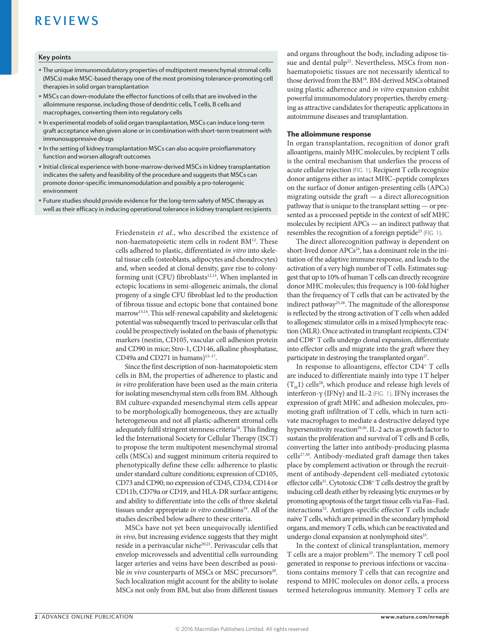#### **Key points**

- The unique immunomodulatory properties of multipotent mesenchymal stromal cells (MSCs) make MSC-based therapy one of the most promising tolerance-promoting cell therapies in solid organ transplantation
- MSCs can down-modulate the effector functions of cells that are involved in the alloimmune response, including those of dendritic cells, T cells, B cells and macrophages, converting them into regulatory cells
- In experimental models of solid organ transplantation, MSCs can induce long-term graft acceptance when given alone or in combination with short-term treatment with immunosuppressive drugs
- In the setting of kidney transplantation MSCs can also acquire proinflammatory function and worsen allograft outcomes
- Initial clinical experience with bone-marrow-derived MSCs in kidney transplantation indicates the safety and feasibility of the procedure and suggests that MSCs can promote donor-specific immunomodulation and possibly a pro-tolerogenic environment
- Future studies should provide evidence for the long-term safety of MSC therapy as well as their efficacy in inducing operational tolerance in kidney transplant recipients

Friedenstein et al., who described the existence of non-haematopoietic stem cells in rodent BM<sup>12</sup>. These cells adhered to plastic, differentiated *in vitro* into skeletal tissue cells (osteoblasts, adipocytes and chondrocytes) and, when seeded at clonal density, gave rise to colonyforming unit (CFU) fibroblasts $12,13$ . When implanted in ectopic locations in semi-allogeneic animals, the clonal progeny of a single CFU fibroblast led to the production of fibrous tissue and ectopic bone that contained bone marrow<sup>13,14</sup>. This self-renewal capability and skeletogenic potential was subsequently traced to perivascular cells that could be prospectively isolated on the basis of phenotypic markers (nestin, CD105, vascular cell adhesion protein and CD90 in mice; Stro-1, CD146, alkaline phosphatase, CD49a and CD271 in humans) $15-17$ .

Since the first description of non-haematopoietic stem cells in BM, the properties of adherence to plastic and *in vitro* proliferation have been used as the main criteria for isolating mesenchymal stem cells from BM. Although BM culture-expanded mesenchymal stem cells appear to be morphologically homogeneous, they are actually heterogeneous and not all plastic-adherent stromal cells adequately fulfil stringent stemness criteria<sup>18</sup>. This finding led the International Society for Cellular Therapy (ISCT) to propose the term multipotent mesenchymal stromal cells (MSCs) and suggest minimum criteria required to phenotypically define these cells: adherence to plastic under standard culture conditions; expression of CD105, CD73 and CD90; no expression of CD45, CD34, CD14 or CD11b, CD79α or CD19, and HLA-DR surface antigens; and ability to differentiate into the cells of three skeletal tissues under appropriate *in vitro* conditions<sup>19</sup>. All of the studies described below adhere to these criteria.

MSCs have not yet been unequivocally identified *in vivo*, but increasing evidence suggests that they might reside in a perivascular niche<sup>20,21</sup>. Perivascular cells that envelop microvessels and adventitial cells surrounding larger arteries and veins have been described as possible *in vivo* counterparts of MSCs or MSC precursors<sup>20</sup>. Such localization might account for the ability to isolate MSCs not only from BM, but also from different tissues and organs throughout the body, including adipose tissue and dental pulp<sup>22</sup>. Nevertheless, MSCs from nonhaematopoietic tissues are not necessarily identical to those derived from the BM18. BM-derived MSCs obtained using plastic adherence and *in vitro* expansion exhibit powerful immunomodulatory properties, thereby emerging as attractive candidates for therapeutic applications in autoimmune diseases and transplantation.

#### The alloimmune response

In organ transplantation, recognition of donor graft alloantigens, mainly MHC molecules, by recipient T cells is the central mechanism that underlies the process of acute cellular rejection (FIG. 1). Recipient T cells recognize donor antigens either as intact MHC–peptide complexes on the surface of donor antigen-presenting cells (APCs) migrating outside the graft  $-$  a direct allorecognition pathway that is unique to the transplant setting — or presented as a processed peptide in the context of self MHC molecules by recipient APCs — an indirect pathway that resembles the recognition of a foreign peptide<sup>23</sup> (FIG. 1).

The direct allorecognition pathway is dependent on short-lived donor APCs<sup>24</sup>, has a dominant role in the initiation of the adaptive immune response, and leads to the activation of a very high number of T cells. Estimates suggest that up to 10% of human T cells can directly recognize donor MHC molecules; this frequency is 100-fold higher than the frequency of T cells that can be activated by the indirect pathway25,26. The magnitude of the alloresponse is reflected by the strong activation of T cells when added to allogeneic stimulator cells in a mixed lymphocyte reaction (MLR). Once activated in transplant recipients, CD4+ and CD8+ T cells undergo clonal expansion, differentiate into effector cells and migrate into the graft where they participate in destroying the transplanted organ<sup>27</sup>.

In response to alloantigens, effector CD4+ T cells are induced to differentiate mainly into type 1T helper  $(T_H1)$  cells<sup>28</sup>, which produce and release high levels of interferon-γ (IFNγ) and IL-2 (FIG. 1). IFNγ increases the expression of graft MHC and adhesion molecules, promoting graft infiltration of T cells, which in turn activate macrophages to mediate a destructive delayed type hypersensitivity reaction<sup>29,30</sup>. IL-2 acts as growth factor to sustain the proliferation and survival of T cells and B cells, converting the latter into antibody-producing plasma cells<sup>27,30</sup>. Antibody-mediated graft damage then takes place by complement activation or through the recruitment of antibody-dependent cell-mediated cytotoxic effector cells<sup>31</sup>. Cytotoxic CD8<sup>+</sup> T cells destroy the graft by inducing cell death either by releasing lytic enzymes or by promoting apoptosis of the target tissue cells via Fas–FasL interactions<sup>32</sup>. Antigen-specific effector T cells include naive T cells, which are primed in the secondary lymphoid organs, and memory T cells, which can be reactivated and undergo clonal expansion at nonlymphoid sites<sup>33</sup>.

In the context of clinical transplantation, memory T cells are a major problem<sup>33</sup>. The memory T cell pool generated in response to previous infections or vaccinations contains memory T cells that can recognize and respond to MHC molecules on donor cells, a process termed heterologous immunity. Memory T cells are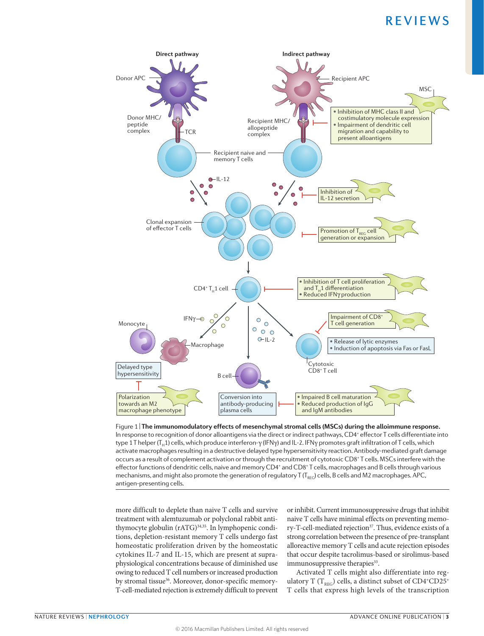

Figure 1 | **The immunomodulatory effects of mesenchymal stromal cells (MSCs) during the alloimmune response.** In response to recognition of donor alloantigens via the direct or indirect pathways, CD4+ effector T cells differentiate into type 1T helper (T<sub>H</sub>1) cells, which produce interferon-γ (IFNγ) and IL-2. IFNγ promotes graft infiltration of T cells, which activate macrophages resulting in a destructive delayed type hypersensitivity reaction. Antibody-mediated graft damage occurs as a result of complement activation or through the recruitment of cytotoxic CD8<sup>+</sup> T cells. MSCs interfere with the effector functions of dendritic cells, naive and memory CD4+ and CD8+ T cells, macrophages and B cells through various mechanisms, and might also promote the generation of regulatory T (T<sub>REG</sub>) cells, B cells and M2 macrophages. APC, antigen-presenting cells.

more difficult to deplete than naive T cells and survive treatment with alemtuzumab or polyclonal rabbit antithymocyte globulin (rATG)<sup>34,35</sup>. In lymphopenic conditions, depletion-resistant memory T cells undergo fast homeostatic proliferation driven by the homeostatic cytokines IL-7 and IL-15, which are present at supraphysiological concentrations because of diminished use owing to reduced T cell numbers or increased production by stromal tissue<sup>36</sup>. Moreover, donor-specific memory-T-cell-mediated rejection is extremely difficult to prevent or inhibit. Current immunosuppressive drugs that inhibit naive T cells have minimal effects on preventing memory-T-cell-mediated rejection<sup>37</sup>. Thus, evidence exists of a strong correlation between the presence of pre-transplant alloreactive memory T cells and acute rejection episodes that occur despite tacrolimus-based or sirolimus-based immunosuppressive therapies<sup>33</sup>.

Activated T cells might also differentiate into regulatory T ( $T_{REG}$ ) cells, a distinct subset of CD4+CD25+ T cells that express high levels of the transcription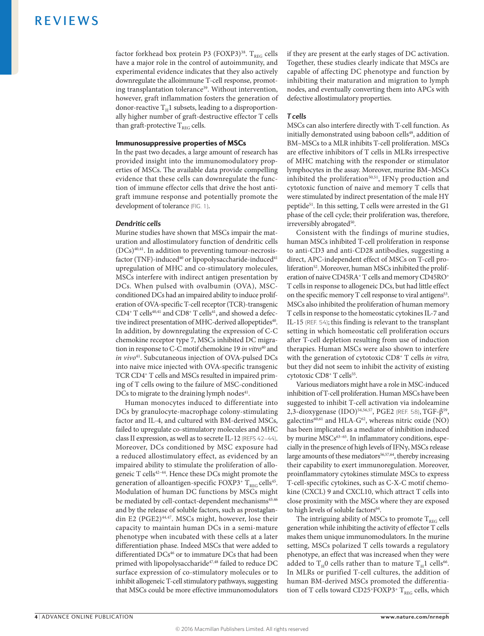factor forkhead box protein P3 (FOXP3)<sup>38</sup>. T<sub>REG</sub> cells have a major role in the control of autoimmunity, and experimental evidence indicates that they also actively downregulate the alloimmune T-cell response, promoting transplantation tolerance<sup>39</sup>. Without intervention, however, graft inflammation fosters the generation of donor-reactive  $T<sub>u</sub>1$  subsets, leading to a disproportionally higher number of graft-destructive effector T cells than graft-protective  $T_{REG}$  cells.

#### Immunosuppressive properties of MSCs

In the past two decades, a large amount of research has provided insight into the immunomodulatory properties of MSCs. The available data provide compelling evidence that these cells can downregulate the function of immune effector cells that drive the host antigraft immune response and potentially promote the development of tolerance (FIG. 1).

#### *Dendritic cells*

Murine studies have shown that MSCs impair the maturation and allostimulatory function of dendritic cells (DCs)40,41. In addition to preventing tumour-necrosisfactor (TNF)-induced<sup>40</sup> or lipopolysaccharide-induced<sup>41</sup> upregulation of MHC and co-stimulatory molecules, MSCs interfere with indirect antigen presentation by DCs. When pulsed with ovalbumin (OVA), MSCconditioned DCs had an impaired ability to induce proliferation of OVA-specific T-cell receptor (TCR)-transgenic  $CD4^{\scriptscriptstyle +}$  T cells<sup>40,41</sup> and  $CD8^{\scriptscriptstyle +}$  T cells<sup>41</sup>, and showed a defective indirect presentation of MHC-derived allopeptides<sup>40</sup>. In addition, by downregulating the expression of C-C chemokine receptor type 7, MSCs inhibited DC migration in response to C-C motif chemokine 19 *in vitro*<sup>40</sup> and *in vivo*41. Subcutaneous injection of OVA-pulsed DCs into naive mice injected with OVA-specific transgenic TCR CD4+ T cells and MSCs resulted in impaired priming of T cells owing to the failure of MSC-conditioned DCs to migrate to the draining lymph nodes<sup>41</sup>.

Human monocytes induced to differentiate into DCs by granulocyte-macrophage colony-stimulating factor and IL-4, and cultured with BM-derived MSCs, failed to upregulate co-stimulatory molecules and MHC class II expression, as well as to secrete IL-12 (REFS 42–44). Moreover, DCs conditioned by MSC exposure had a reduced allostimulatory effect, as evidenced by an impaired ability to stimulate the proliferation of allogeneic T cells42–44 . Hence these DCs might promote the generation of alloantigen-specific FOXP3+  $T_{REG}$  cells<sup>45</sup>. Modulation of human DC functions by MSCs might be mediated by cell-contact-dependent mechanisms<sup>43,46</sup> and by the release of soluble factors, such as prostaglandin E2 (PGE2)<sup>44,47</sup>. MSCs might, however, lose their capacity to maintain human DCs in a semi-mature phenotype when incubated with these cells at a later differentiation phase. Indeed MSCs that were added to differentiated DCs<sup>46</sup> or to immature DCs that had been primed with lipopolysaccharide<sup>47,48</sup> failed to reduce DC surface expression of co-stimulatory molecules or to inhibit allogeneic T-cell stimulatory pathways, suggesting that MSCs could be more effective immunomodulators if they are present at the early stages of DC activation. Together, these studies clearly indicate that MSCs are capable of affecting DC phenotype and function by inhibiting their maturation and migration to lymph nodes, and eventually converting them into APCs with defective allostimulatory properties.

#### *T cells*

MSCs can also interfere directly with T-cell function. As initially demonstrated using baboon cells<sup>49</sup>, addition of BM–MSCs to a MLR inhibits T-cell proliferation. MSCs are effective inhibitors of T cells in MLRs irrespective of MHC matching with the responder or stimulator lymphocytes in the assay. Moreover, murine BM–MSCs inhibited the proliferation<sup>50,51</sup>, IFNγ production and cytotoxic function of naive and memory T cells that were stimulated by indirect presentation of the male HY peptide51. In this setting, T cells were arrested in the G1 phase of the cell cycle; their proliferation was, therefore, irreversibly abrogated<sup>50</sup>.

Consistent with the findings of murine studies, human MSCs inhibited T-cell proliferation in response to anti-CD3 and anti-CD28 antibodies, suggesting a direct, APC-independent effect of MSCs on T-cell proliferation<sup>52</sup>. Moreover, human MSCs inhibited the proliferation of naive CD45RA+ T cells and memory CD45RO+ T cells in response to allogeneic DCs, but had little effect on the specific memory T cell response to viral antigens<sup>53</sup>. MSCs also inhibited the proliferation of human memory T cells in response to the homeostatic cytokines IL-7 and IL-15 (REF. 54); this finding is relevant to the transplant setting in which homeostatic cell proliferation occurs after T-cell depletion resulting from use of induction therapies. Human MSCs were also shown to interfere with the generation of cytotoxic CD8+ T cells *in vitro,* but they did not seem to inhibit the activity of existing cytotoxic CD8<sup>+</sup> T cells<sup>55</sup>.

Various mediators might have a role in MSC-induced inhibition of T-cell proliferation. Human MSCs have been suggested to inhibit T-cell activation via indoleamine 2,3-dioxygenase (IDO)<sup>54,56,57</sup>, PGE2 (REF. 58), TGF-β<sup>59</sup>, galectins<sup>60,61</sup> and HLA-G<sup>62</sup>, whereas nitric oxide (NO) has been implicated as a mediator of inhibition induced by murine MSCs<sup>63-65</sup>. In inflammatory conditions, especially in the presence of high levels of IFNγ, MSCs release large amounts of these mediators<sup>56,57,64</sup>, thereby increasing their capability to exert immunoregulation. Moreover, proinflammatory cytokines stimulate MSCs to express T-cell-specific cytokines, such as C-X-C motif chemokine (CXCL) 9 and CXCL10, which attract T cells into close proximity with the MSCs where they are exposed to high levels of soluble factors<sup>64</sup>.

The intriguing ability of MSCs to promote  $T_{REG}$  cell generation while inhibiting the activity of effector T cells makes them unique immunomodulators. In the murine setting, MSCs polarized T cells towards a regulatory phenotype, an effect that was increased when they were added to  $T_H0$  cells rather than to mature  $T_H1$  cells<sup>66</sup>. In MLRs or purified T-cell cultures, the addition of human BM-derived MSCs promoted the differentiation of T cells toward CD25+FOXP3+  $T_{REG}$  cells, which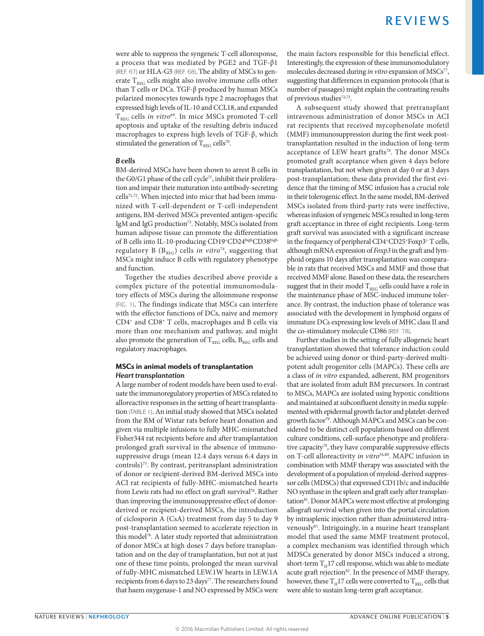were able to suppress the syngeneic T-cell alloresponse, a process that was mediated by PGE2 and TGF-β1 (REF. 67) or HLA-G5 (REF. 68).The ability of MSCs to generate  $T_{REG}$  cells might also involve immune cells other than T cells or DCs. TGF-β produced by human MSCs polarized monocytes towards type 2 macrophages that expressed high levels of IL-10 and CCL18, and expanded  $T<sub>rec</sub>$  cells *in vitro*<sup>69</sup>. In mice MSCs promoted T-cell apoptosis and uptake of the resulting debris induced macrophages to express high levels of TGF-β, which stimulated the generation of  $T_{REG}$  cells<sup>70</sup>.

#### *B cells*

BM-derived MSCs have been shown to arrest B cells in the G0/G1 phase of the cell cycle<sup>71</sup>, inhibit their proliferation and impair their maturation into antibody-secreting cells71,72. When injected into mice that had been immunized with T-cell-dependent or T-cell-independent antigens, BM-derived MSCs prevented antigen-specific IgM and IgG production<sup>73</sup>. Notably, MSCs isolated from human adipose tissue can promote the differentiation of B cells into IL-10-producing CD19+CD24highCD38high regulatory B ( $B_{REG}$ ) cells *in vitro*<sup>74</sup>, suggesting that MSCs might induce B cells with regulatory phenotype and function.

Together the studies described above provide a complex picture of the potential immunomodulatory effects of MSCs during the alloimmune response (FIG. 1). The findings indicate that MSCs can interfere with the effector functions of DCs, naive and memory CD4+ and CD8+ T cells, macrophages and B cells via more than one mechanism and pathway, and might also promote the generation of  $\rm T_{\rm REG}$  cells,  $\rm B_{\rm REG}$  cells and regulatory macrophages.

### MSCs in animal models of transplantation *Heart transplantation*

A large number of rodent models have been used to evaluate the immunoregulatory properties of MSCs related to alloreactive responses in the setting of heart transplantation (TABLE 1). An initial study showed that MSCs isolated from the BM of Wistar rats before heart donation and given via multiple infusions to fully MHC-mismatched Fisher344 rat recipients before and after transplantation prolonged graft survival in the absence of immunosuppressive drugs (mean 12.4 days versus 6.4 days in controls)75. By contrast, peritransplant administration of donor or recipient-derived BM-derived MSCs into ACI rat recipients of fully-MHC-mismatched hearts from Lewis rats had no effect on graft survival<sup>76</sup>. Rather than improving the immunosuppressive effect of donorderived or recipient-derived MSCs, the introduction of ciclosporin A (CsA) treatment from day 5 to day 9 post-transplantation seemed to accelerate rejection in this model<sup>76</sup>. A later study reported that administration of donor MSCs at high doses 7 days before transplantation and on the day of transplantation, but not at just one of these time points, prolonged the mean survival of fully-MHC mismatched LEW.1W hearts in LEW.1A recipients from 6 days to 23 days<sup>77</sup>. The researchers found that haem oxygenase-1 and NO expressed by MSCs were the main factors responsible for this beneficial effect. Interestingly, the expression of these immunomodulatory molecules decreased during *in vitro* expansion of MSCs<sup>77</sup>, suggesting that differences in expansion protocols (that is number of passages) might explain the contrasting results of previous studies<sup>72,73</sup>.

A subsequent study showed that pretransplant intravenous administration of donor MSCs in ACI rat recipients that received mycophenolate mofetil (MMF) immunosuppression during the first week posttransplantation resulted in the induction of long-term acceptance of LEW heart grafts<sup>78</sup>. The donor MSCs promoted graft acceptance when given 4 days before transplantation, but not when given at day 0 or at 3 days post-transplantation; these data provided the first evidence that the timing of MSC infusion has a crucial role in their tolerogenic effect. In the same model, BM-derived MSCs isolated from third-party rats were ineffective, whereas infusion of syngeneic MSCs resulted in long-term graft acceptance in three of eight recipients. Long-term graft survival was associated with a significant increase in the frequency of peripheral CD4<sup>+</sup>CD25<sup>+</sup>Foxp3<sup>+</sup>T cells, although mRNA expression of *Foxp3* in the graft and lymphoid organs 10 days after transplantation was comparable in rats that received MSCs and MMF and those that received MMF alone. Based on these data, the researchers suggest that in their model  $T_{REG}$  cells could have a role in the maintenance phase of MSC-induced immune tolerance. By contrast, the induction phase of tolerance was associated with the development in lymphoid organs of immature DCs expressing low levels of MHC class II and the co-stimulatory molecule CD86 (REF. 78).

Further studies in the setting of fully allogeneic heart transplantation showed that tolerance induction could be achieved using donor or third-party-derived multipotent adult progenitor cells (MAPCs). These cells are a class of *in vitro* expanded, adherent, BM progenitors that are isolated from adult BM precursors. In contrast to MSCs, MAPCs are isolated using hypoxic conditions and maintained at subconfluent density in media supplemented with epidermal growth factor and platelet-derived growth factor<sup>79</sup>. Although MAPCs and MSCs can be considered to be distinct cell populations based on different culture conditions, cell-surface phenotype and proliferative capacity<sup>79</sup>, they have comparable suppressive effects on T-cell alloreactivity *in vitro*54,80. MAPC infusion in combination with MMF therapy was associated with the development of a population of myeloid-derived suppressor cells (MDSCs) that expressed CD11b/c and inducible NO synthase in the spleen and graft early after transplantation<sup>81</sup>. Donor MAPCs were most effective at prolonging allograft survival when given into the portal circulation by intrasplenic injection rather than administered intravenously<sup>81</sup>. Intriguingly, in a murine heart transplant model that used the same MMF treatment protocol, a complex mechanism was identified through which MDSCs generated by donor MSCs induced a strong, short-term  $T_H17$  cell response, which was able to mediate acute graft rejection<sup>82</sup>. In the presence of MMF therapy, however, these  $T_H17$  cells were converted to  $T_{REG}$  cells that were able to sustain long-term graft acceptance.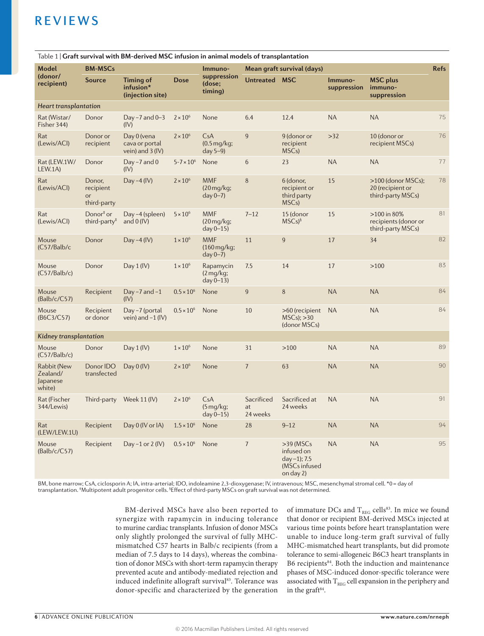|                                               | Table I   Graft survival with BM-derived MSC infusion in animal models of transplantation |                                                   |                     |                                                       |                              |                                                                            |                        |                                                               |             |  |  |
|-----------------------------------------------|-------------------------------------------------------------------------------------------|---------------------------------------------------|---------------------|-------------------------------------------------------|------------------------------|----------------------------------------------------------------------------|------------------------|---------------------------------------------------------------|-------------|--|--|
| <b>Model</b><br>(donor/<br>recipient)         | <b>BM-MSCs</b>                                                                            |                                                   |                     | Immuno-                                               | Mean graft survival (days)   |                                                                            |                        |                                                               | <b>Refs</b> |  |  |
|                                               | <b>Source</b>                                                                             | <b>Timing of</b><br>infusion*<br>(injection site) | <b>Dose</b>         | suppression<br>(dose;<br>timing)                      | Untreated MSC                |                                                                            | Immuno-<br>suppression | <b>MSC</b> plus<br>immuno-<br>suppression                     |             |  |  |
| <b>Heart transplantation</b>                  |                                                                                           |                                                   |                     |                                                       |                              |                                                                            |                        |                                                               |             |  |  |
| Rat (Wistar/<br>Fisher 344)                   | Donor                                                                                     | Day $-7$ and $0-3$<br>(IV)                        | $2 \times 10^6$     | None                                                  | 6.4                          | 12.4                                                                       | <b>NA</b>              | <b>NA</b>                                                     | 75          |  |  |
| Rat<br>(Lewis/ACI)                            | Donor or<br>recipient                                                                     | Day 0 (vena<br>cava or portal<br>vein) and 3 (IV) | $2 \times 10^6$     | CsA<br>$(0.5 \,\mathrm{mq/kg})$<br>day $5-9$ )        | $\overline{9}$               | 9 (donor or<br>recipient<br>MSC <sub>s</sub> )                             | $>32$                  | 10 (donor or<br>recipient MSCs)                               | 76          |  |  |
| Rat (LEW.1W/<br>LEW.1A)                       | Donor                                                                                     | $Day - 7$ and 0<br>(IV)                           | $5 - 7 \times 10^6$ | None                                                  | $6\phantom{.}6$              | 23                                                                         | <b>NA</b>              | <b>NA</b>                                                     | 77          |  |  |
| Rat<br>(Lewis/ACI)                            | Donor,<br>recipient<br><b>or</b><br>third-party                                           | Day $-4$ (IV)                                     | $2 \times 10^6$     | <b>MMF</b><br>(20 mg/kg;<br>$day 0-7)$                | $\,8\,$                      | 6 (donor,<br>recipient or<br>third party<br>MSC <sub>s</sub> )             | 15                     | $>100$ (donor MSCs);<br>20 (recipient or<br>third-party MSCs) | 78          |  |  |
| Rat<br>(Lewis/ACI)                            | Donor $†$ or<br>third-party <sup><math>\ddagger</math></sup>                              | Day-4 (spleen)<br>and $0$ (IV)                    | $5 \times 10^6$     | <b>MMF</b><br>$(20 \,\mathrm{mq/kg})$<br>day $0-15$ ) | $7 - 12$                     | 15 (donor<br>$MSCs$ <sup>§</sup>                                           | 15                     | >100 in 80%<br>recipients (donor or<br>third-party MSCs)      | 81          |  |  |
| Mouse<br>(C57/Balb/c)                         | Donor                                                                                     | Day $-4$ (IV)                                     | $1 \times 10^6$     | <b>MMF</b><br>(160 mg/kg;<br>$day 0-7)$               | 11                           | $\mathbf{q}$                                                               | 17                     | 34                                                            | 82          |  |  |
| Mouse<br>(C57/Balb/c)                         | Donor                                                                                     | Day $1$ (IV)                                      | $1 \times 10^6$     | Rapamycin<br>$(2 \text{mq/kg})$<br>day $0-13$ )       | 7.5                          | 14                                                                         | 17                     | >100                                                          | 83          |  |  |
| Mouse<br>(Balb/c/C57)                         | Recipient                                                                                 | Day $-7$ and $-1$<br>(IV)                         | $0.5 \times 10^{6}$ | None                                                  | $\overline{9}$               | 8                                                                          | <b>NA</b>              | <b>NA</b>                                                     | 84          |  |  |
| Mouse<br>(B6C3/C57)                           | Recipient<br>or donor                                                                     | Day-7 (portal<br>vein) and $-1$ (IV)              | $0.5 \times 10^{6}$ | None                                                  | 10                           | $>60$ (recipient<br>$MSCs$ ; $>30$<br>(donor MSCs)                         | <b>NA</b>              | <b>NA</b>                                                     | 84          |  |  |
| Kidney transplantation                        |                                                                                           |                                                   |                     |                                                       |                              |                                                                            |                        |                                                               |             |  |  |
| Mouse<br>(C57/Balb/c)                         | Donor                                                                                     | Day $1$ (IV)                                      | $1 \times 10^6$     | None                                                  | 31                           | >100                                                                       | <b>NA</b>              | <b>NA</b>                                                     | 89          |  |  |
| Rabbit (New<br>Zealand/<br>Japanese<br>white) | Donor IDO<br>transfected                                                                  | Day $0$ (IV)                                      | $2 \times 10^6$     | None                                                  | $\overline{7}$               | 63                                                                         | <b>NA</b>              | <b>NA</b>                                                     | 90          |  |  |
| Rat (Fischer<br>344/Lewis)                    | Third-party                                                                               | Week $11 (IV)$                                    | $2 \times 10^6$     | CsA<br>$(5 \,\mathrm{mq/kg})$<br>day $0-15$ )         | Sacrificed<br>at<br>24 weeks | Sacrificed at<br>24 weeks                                                  | <b>NA</b>              | <b>NA</b>                                                     | 91          |  |  |
| Rat<br>(LEW/LEW.1U)                           | Recipient                                                                                 | Day 0 (IV or IA)                                  | $1.5 \times 10^{6}$ | None                                                  | 28                           | $9 - 12$                                                                   | <b>NA</b>              | <b>NA</b>                                                     | 94          |  |  |
| Mouse<br>(Balb/c/C57)                         | Recipient                                                                                 | Day $-1$ or 2 (IV)                                | $0.5 \times 10^{6}$ | None                                                  | $\overline{7}$               | $>39$ (MSCs<br>infused on<br>$day - 1); 7.5$<br>(MSCs infused<br>on day 2) | <b>NA</b>              | <b>NA</b>                                                     | 95          |  |  |

Table 1 | **Graft survival with BM‑derived MSC infusion in animal models of transplantation**

BM, bone marrow; CsA, ciclosporin A; IA, intra-arterial; IDO, indoleamine 2,3‑dioxygenase; IV, intravenous; MSC, mesenchymal stromal cell. \*0= day of transplantation. ‡ Multipotent adult progenitor cells. § Effect of third-party MSCs on graft survival was not determined.

> BM-derived MSCs have also been reported to synergize with rapamycin in inducing tolerance to murine cardiac transplants. Infusion of donor MSCs only slightly prolonged the survival of fully MHCmismatched C57 hearts in Balb/c recipients (from a median of 7.5 days to 14 days), whereas the combination of donor MSCs with short-term rapamycin therapy prevented acute and antibody-mediated rejection and induced indefinite allograft survival<sup>83</sup>. Tolerance was donor-specific and characterized by the generation

of immature DCs and  $\rm T_{\rm REG}$  cells $^{\rm 83}.$  In mice we found that donor or recipient BM-derived MSCs injected at various time points before heart transplantation were unable to induce long-term graft survival of fully MHC-mismatched heart transplants, but did promote tolerance to semi-allogeneic B6C3 heart transplants in B6 recipients<sup>84</sup>. Both the induction and maintenance phases of MSC-induced donor-specific tolerance were associated with  $T_{REG}$  cell expansion in the periphery and in the graft<sup>84</sup>.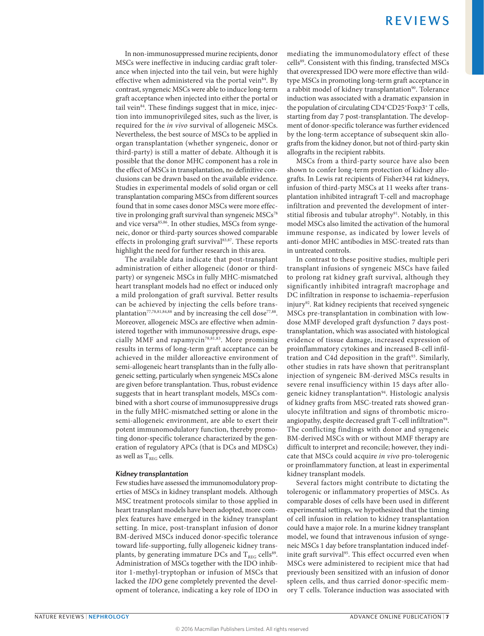In non-immunosuppressed murine recipients, donor MSCs were ineffective in inducing cardiac graft tolerance when injected into the tail vein, but were highly effective when administered via the portal vein<sup>84</sup>. By contrast, syngeneic MSCs were able to induce long-term graft acceptance when injected into either the portal or tail vein<sup>84</sup>. These findings suggest that in mice, injection into immunoprivileged sites, such as the liver, is required for the *in vivo* survival of allogeneic MSCs. Nevertheless, the best source of MSCs to be applied in organ transplantation (whether syngeneic, donor or third-party) is still a matter of debate. Although it is possible that the donor MHC component has a role in the effect of MSCs in transplantation, no definitive conclusions can be drawn based on the available evidence. Studies in experimental models of solid organ or cell transplantation comparing MSCs from different sources found that in some cases donor MSCs were more effective in prolonging graft survival than syngeneic  $MSCs^{78}$ and vice versa<sup>85,86</sup>. In other studies, MSCs from syngeneic, donor or third-party sources showed comparable effects in prolonging graft survival<sup>83,87</sup>. These reports highlight the need for further research in this area.

The available data indicate that post-transplant administration of either allogeneic (donor or thirdparty) or syngeneic MSCs in fully MHC-mismatched heart transplant models had no effect or induced only a mild prolongation of graft survival. Better results can be achieved by injecting the cells before transplantation<sup>77,78,81,84,88</sup> and by increasing the cell dose<sup>77,88</sup>. Moreover, allogeneic MSCs are effective when administered together with immunosuppressive drugs, especially MMF and rapamycin<sup>78,81,83</sup>. More promising results in terms of long-term graft acceptance can be achieved in the milder alloreactive environment of semi-allogeneic heart transplants than in the fully allogeneic setting, particularly when syngeneic MSCs alone are given before transplantation. Thus, robust evidence suggests that in heart transplant models, MSCs combined with a short course of immunosuppressive drugs in the fully MHC-mismatched setting or alone in the semi-allogeneic environment, are able to exert their potent immunomodulatory function, thereby promoting donor-specific tolerance characterized by the generation of regulatory APCs (that is DCs and MDSCs) as well as  $T_{REG}$  cells.

#### *Kidney transplantation*

Few studies have assessed the immunomodulatory properties of MSCs in kidney transplant models. Although MSC treatment protocols similar to those applied in heart transplant models have been adopted, more complex features have emerged in the kidney transplant setting. In mice, post-transplant infusion of donor BM-derived MSCs induced donor-specific tolerance toward life-supporting, fully allogeneic kidney transplants, by generating immature DCs and  $T_{REG}$  cells<sup>89</sup>. Administration of MSCs together with the IDO inhibitor 1-methyl-tryptophan or infusion of MSCs that lacked the *IDO* gene completely prevented the development of tolerance, indicating a key role of IDO in mediating the immunomodulatory effect of these cells89. Consistent with this finding, transfected MSCs that overexpressed IDO were more effective than wildtype MSCs in promoting long-term graft acceptance in a rabbit model of kidney transplantation<sup>90</sup>. Tolerance induction was associated with a dramatic expansion in the population of circulating CD4+ CD25+ Foxp3+ T cells, starting from day 7 post-transplantation. The development of donor-specific tolerance was further evidenced by the long-term acceptance of subsequent skin allografts from the kidney donor, but not of third-party skin allografts in the recipient rabbits.

MSCs from a third-party source have also been shown to confer long-term protection of kidney allografts. In Lewis rat recipients of Fisher344 rat kidneys, infusion of third-party MSCs at 11 weeks after transplantation inhibited intragraft T-cell and macrophage infiltration and prevented the development of interstitial fibrosis and tubular atrophy<sup>91</sup>. Notably, in this model MSCs also limited the activation of the humoral immune response, as indicated by lower levels of anti-donor MHC antibodies in MSC-treated rats than in untreated controls.

In contrast to these positive studies, multiple peri transplant infusions of syngeneic MSCs have failed to prolong rat kidney graft survival, although they significantly inhibited intragraft macrophage and DC infiltration in response to ischaemia–reperfusion injury<sup>92</sup>. Rat kidney recipients that received syngeneic MSCs pre-transplantation in combination with lowdose MMF developed graft dysfunction 7 days posttransplantation, which was associated with histological evidence of tissue damage, increased expression of proinflammatory cytokines and increased B-cell infiltration and C4d deposition in the graft<sup>93</sup>. Similarly, other studies in rats have shown that peritransplant injection of syngeneic BM-derived MSCs results in severe renal insufficiency within 15 days after allogeneic kidney transplantation<sup>94</sup>. Histologic analysis of kidney grafts from MSC-treated rats showed granulocyte infiltration and signs of thrombotic microangiopathy, despite decreased graft T-cell infiltration<sup>94</sup>. The conflicting findings with donor and syngeneic BM-derived MSCs with or without MMF therapy are difficult to interpret and reconcile; however, they indicate that MSCs could acquire *in vivo* pro-tolerogenic or proinflammatory function, at least in experimental kidney transplant models.

Several factors might contribute to dictating the tolerogenic or inflammatory properties of MSCs. As comparable doses of cells have been used in different experimental settings, we hypothesized that the timing of cell infusion in relation to kidney transplantation could have a major role. In a murine kidney transplant model, we found that intravenous infusion of syngeneic MSCs 1 day before transplantation induced indefinite graft survival<sup>95</sup>. This effect occurred even when MSCs were administered to recipient mice that had previously been sensitized with an infusion of donor spleen cells, and thus carried donor-specific memory T cells. Tolerance induction was associated with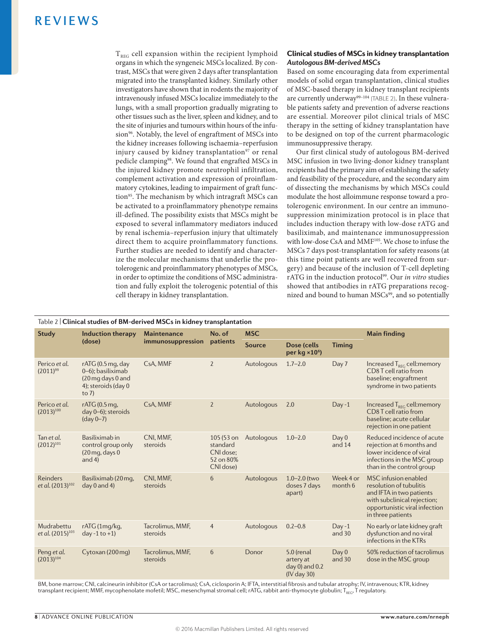$T_{REG}$  cell expansion within the recipient lymphoid organs in which the syngeneic MSCs localized. By contrast, MSCs that were given 2 days after transplantation migrated into the transplanted kidney. Similarly other investigators have shown that in rodents the majority of intravenously infused MSCs localize immediately to the lungs, with a small proportion gradually migrating to other tissues such as the liver, spleen and kidney, and to the site of injuries and tumours within hours of the infusion<sup>96</sup>. Notably, the level of engraftment of MSCs into the kidney increases following ischaemia–reperfusion injury caused by kidney transplantation<sup>97</sup> or renal pedicle clamping<sup>98</sup>. We found that engrafted MSCs in the injured kidney promote neutrophil infiltration, complement activation and expression of proinflammatory cytokines, leading to impairment of graft function<sup>95</sup>. The mechanism by which intragraft MSCs can be activated to a proinflammatory phenotype remains ill-defined. The possibility exists that MSCs might be exposed to several inflammatory mediators induced by renal ischemia–reperfusion injury that ultimately direct them to acquire proinflammatory functions. Further studies are needed to identify and characterize the molecular mechanisms that underlie the protolerogenic and proinflammatory phenotypes of MSCs, in order to optimize the conditions of MSC administration and fully exploit the tolerogenic potential of this cell therapy in kidney transplantation.

### Clinical studies of MSCs in kidney transplantation *Autologous BM‑derived MSCs*

Based on some encouraging data from experimental models of solid organ transplantation, clinical studies of MSC-based therapy in kidney transplant recipients are currently underway<sup>99-104</sup> (TABLE 2). In these vulnerable patients safety and prevention of adverse reactions are essential. Moreover pilot clinical trials of MSC therapy in the setting of kidney transplantation have to be designed on top of the current pharmacologic immunosuppressive therapy.

Our first clinical study of autologous BM-derived MSC infusion in two living-donor kidney transplant recipients had the primary aim of establishing the safety and feasibility of the procedure, and the secondary aim of dissecting the mechanisms by which MSCs could modulate the host alloimmune response toward a protolerogenic environment. In our centre an immunosuppression minimization protocol is in place that includes induction therapy with low-dose rATG and basiliximab, and maintenance immunosuppression with low-dose CsA and MMF<sup>105</sup>. We chose to infuse the MSCs 7 days post-transplantation for safety reasons (at this time point patients are well recovered from surgery) and because of the inclusion of T-cell depleting rATG in the induction protocol99. Our *in vitro* studies showed that antibodies in rATG preparations recognized and bound to human MSCs<sup>99</sup>, and so potentially

| Table 2   Clinical studies of BM-derived MSCs in kidney transplantation |                                                                                                             |                              |                                                               |               |                                                               |                      |                                                                                                                                                                  |  |  |  |
|-------------------------------------------------------------------------|-------------------------------------------------------------------------------------------------------------|------------------------------|---------------------------------------------------------------|---------------|---------------------------------------------------------------|----------------------|------------------------------------------------------------------------------------------------------------------------------------------------------------------|--|--|--|
| <b>Study</b>                                                            | <b>Induction therapy</b>                                                                                    | <b>Maintenance</b>           | No. of<br>patients                                            | <b>MSC</b>    |                                                               |                      | <b>Main finding</b>                                                                                                                                              |  |  |  |
|                                                                         | (dose)                                                                                                      | immunosuppression            |                                                               | <b>Source</b> | Dose (cells<br>per $kq \times 10^6$                           | <b>Timing</b>        |                                                                                                                                                                  |  |  |  |
| Perico et al.<br>$(2011)^{99}$                                          | rATG $(0.5 \,\mathrm{mg}$ , day<br>0-6); basiliximab<br>(20 mg days 0 and<br>4); steroids (day 0<br>to $7)$ | CsA, MMF                     | $\overline{2}$                                                | Autologous    | $1.7 - 2.0$                                                   | Day 7                | Increased $T_{\text{REG}}$ cell: memory<br>CD8 T cell ratio from<br>baseline; engraftment<br>syndrome in two patients                                            |  |  |  |
| Perico et al.<br>$(2013)^{100}$                                         | rATG (0.5 mg,<br>day 0-6); steroids<br>$\frac{(\text{day } 0 - 7)}{}$                                       | CsA, MMF                     | $\overline{2}$                                                | Autologous    | 2.0                                                           | $Day - 1$            | Increased $T_{REG}$ cell: memory<br>CD8 T cell ratio from<br>baseline; acute cellular<br>rejection in one patient                                                |  |  |  |
| Tan et al.<br>$(2012)^{101}$                                            | Basiliximab in<br>control group only<br>$(20 \,\mathrm{mg}$ , days 0<br>and $4)$                            | CNI, MMF,<br>steroids        | 105 (53 on<br>standard<br>CNI dose:<br>52 on 80%<br>CNI dose) | Autologous    | $1.0 - 2.0$                                                   | Day 0<br>and 14      | Reduced incidence of acute<br>rejection at 6 months and<br>lower incidence of viral<br>infections in the MSC group<br>than in the control group                  |  |  |  |
| <b>Reinders</b><br>et al. (2013) <sup>102</sup>                         | Basiliximab (20 mg,<br>$day 0$ and 4)                                                                       | CNI, MMF,<br>steroids        | 6                                                             | Autologous    | $1.0 - 2.0$ (two<br>doses 7 days<br>apart)                    | Week 4 or<br>month 6 | MSC infusion enabled<br>resolution of tubulitis<br>and IFTA in two patients<br>with subclinical rejection;<br>opportunistic viral infection<br>in three patients |  |  |  |
| Mudrabettu<br>et al. (2015) <sup>103</sup>                              | rATG (1mg/kg,<br>day -1 to +1)                                                                              | Tacrolimus, MMF,<br>steroids | $\overline{4}$                                                | Autologous    | $0.2 - 0.8$                                                   | $Day - 1$<br>and 30  | No early or late kidney graft<br>dysfunction and no viral<br>infections in the KTRs                                                                              |  |  |  |
| Peng et al.<br>$(2013)^{104}$                                           | Cytoxan (200 mg)                                                                                            | Tacrolimus, MMF,<br>steroids | 6                                                             | Donor         | 5.0 (renal<br>artery at<br>$day$ 0) and 0.2<br>$($ IV day 30) | Day 0<br>and 30      | 50% reduction of tacrolimus<br>dose in the MSC group                                                                                                             |  |  |  |

BM, bone marrow; CNI, calcineurin inhibitor (CsA or tacrolimus); CsA, ciclosporin A; IFTA, interstitial fibrosis and tubular atrophy; IV, intravenous; KTR, kidney transplant recipient; MMF, mycophenolate mofetil; MSC, mesenchymal stromal cell; rATG, rabbit anti-thymocyte globulin; T<sub>REG</sub>, T regulatory.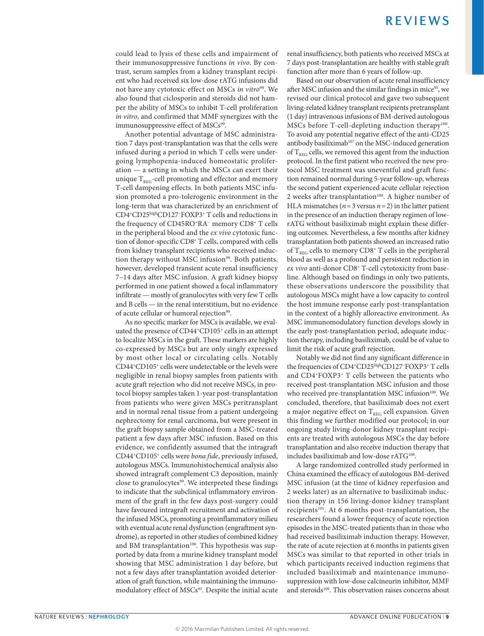could lead to lysis of these cells and impairment of their immunosuppressive functions *in vivo*. By contrast, serum samples from a kidney transplant recipient who had received six low-dose rATG infusions did not have any cytotoxic effect on MSCs *in vitro*99. We also found that ciclosporin and steroids did not hamper the ability of MSCs to inhibit T-cell proliferation *in vitro*, and confirmed that MMF synergizes with the immunosuppressive effect of MSCs<sup>99</sup>.

Another potential advantage of MSC administration 7 days post-transplantation was that the cells were infused during a period in which T cells were undergoing lymphopenia-induced homeostatic proliferation — a setting in which the MSCs can exert their unique  $T_{REG}$ -cell promoting and effector and memory T-cell dampening effects. In both patients MSC infusion promoted a pro-tolerogenic environment in the long-term that was characterized by an enrichment of CD4+CD25highCD127−FOXP3+ T cells and reductions in the frequency of CD45RO+RA− memory CD8+ T cells in the peripheral blood and the *ex vivo* cytotoxic function of donor-specific CD8+ T cells, compared with cells from kidney transplant recipients who received induction therapy without MSC infusion<sup>99</sup>. Both patients, however, developed transient acute renal insufficiency 7–14 days after MSC infusion. A graft kidney biopsy performed in one patient showed a focal inflammatory infiltrate — mostly of granulocytes with very few T cells and B cells — in the renal interstitium, but no evidence of acute cellular or humoral rejection<sup>99</sup>.

As no specific marker for MSCs is available, we evaluated the presence of CD44+CD105+ cells in an attempt to localize MSCs in the graft. These markers are highly co-expressed by MSCs but are only singly expressed by most other local or circulating cells. Notably CD44+CD105+ cells were undetectable or the levels were negligible in renal biopsy samples from patients with acute graft rejection who did not receive MSCs, in protocol biopsy samples taken 1-year post-transplantation from patients who were given MSCs peritransplant and in normal renal tissue from a patient undergoing nephrectomy for renal carcinoma, but were present in the graft biopsy sample obtained from a MSC-treated patient a few days after MSC infusion. Based on this evidence, we confidently assumed that the intragraft CD44+CD105+ cells were *bona fide*, previously infused, autologous MSCs. Immunohistochemical analysis also showed intragraft complement C3 deposition, mainly close to granulocytes<sup>99</sup>. We interpreted these findings to indicate that the subclinical inflammatory environment of the graft in the few days post-surgery could have favoured intragraft recruitment and activation of the infused MSCs, promoting a proinflammatory milieu with eventual acute renal dysfunction (engraftment syndrome), as reported in other studies of combined kidney and BM transplantation<sup>106</sup>. This hypothesis was supported by data from a murine kidney transplant model showing that MSC administration 1 day before, but not a few days after transplantation avoided deterioration of graft function, while maintaining the immunomodulatory effect of MSCs<sup>95</sup>. Despite the initial acute renal insufficiency, both patients who received MSCs at 7 days post-transplantation are healthy with stable graft function after more than 6 years of follow-up.

Based on our observation of acute renal insufficiency after MSC infusion and the similar findings in mice<sup>95</sup>, we revised our clinical protocol and gave two subsequent living-related kidney transplant recipients pretransplant (1 day) intravenous infusions of BM-derived autologous MSCs before T-cell-depleting induction therapy<sup>100</sup>. To avoid any potential negative effect of the anti-CD25 antibody basiliximab<sup>107</sup> on the MSC-induced generation of  $T_{REG}$  cells, we removed this agent from the induction protocol. In the first patient who received the new protocol MSC treatment was uneventful and graft function remained normal during 5-year follow-up, whereas the second patient experienced acute cellular rejection 2 weeks after transplantation<sup>100</sup>. A higher number of HLA mismatches ( $n=3$  versus  $n=2$ ) in the latter patient in the presence of an induction therapy regimen of lowrATG without basiliximab might explain these differing outcomes. Nevertheless, a few months after kidney transplantation both patients showed an increased ratio of  $T_{REG}$  cells to memory CD8<sup>+</sup> T cells in the peripheral blood as well as a profound and persistent reduction in *ex vivo* anti-donor CD8+ T-cell cytotoxicity from baseline. Although based on findings in only two patients, these observations underscore the possibility that autologous MSCs might have a low capacity to control the host immune response early post-transplantation in the context of a highly alloreactive environment. As MSC immunomodulatory function develops slowly in the early post-transplantation period, adequate induction therapy, including basiliximab, could be of value to limit the risk of acute graft rejection.

Notably we did not find any significant difference in the frequencies of CD4+CD25highCD127−FOXP3+ T cells and CD4+FOXP3+ T cells between the patients who received post-transplantation MSC infusion and those who received pre-transplantation MSC infusion<sup>100</sup>. We concluded, therefore, that basiliximab does not exert a major negative effect on  $T_{REG}$  cell expansion. Given this finding we further modified our protocol; in our ongoing study living-donor kidney transplant recipients are treated with autologous MSCs the day before transplantation and also receive induction therapy that includes basiliximab and low-dose rATG<sup>108</sup>.

A large randomized controlled study performed in China examined the efficacy of autologous BM-derived MSC infusion (at the time of kidney reperfusion and 2 weeks later) as an alternative to basiliximab induction therapy in 156 living-donor kidney transplant recipients<sup>101</sup>. At 6 months post-transplantation, the researchers found a lower frequency of acute rejection episodes in the MSC-treated patients than in those who had received basiliximab induction therapy. However, the rate of acute rejection at 6 months in patients given MSCs was similar to that reported in other trials in which participants received induction regimens that included basiliximab and maintenance immunosuppression with low-dose calcineurin inhibitor, MMF and steroids<sup>109</sup>. This observation raises concerns about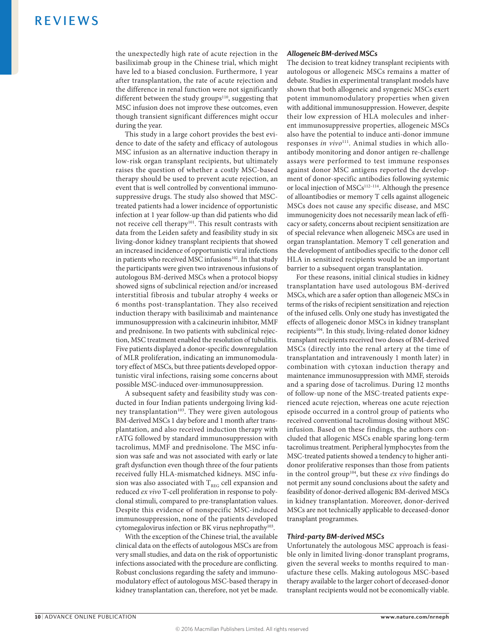the unexpectedly high rate of acute rejection in the basiliximab group in the Chinese trial, which might have led to a biased conclusion. Furthermore, 1 year after transplantation, the rate of acute rejection and the difference in renal function were not significantly different between the study groups<sup>110</sup>, suggesting that MSC infusion does not improve these outcomes, even though transient significant differences might occur during the year.

This study in a large cohort provides the best evidence to date of the safety and efficacy of autologous MSC infusion as an alternative induction therapy in low-risk organ transplant recipients, but ultimately raises the question of whether a costly MSC-based therapy should be used to prevent acute rejection, an event that is well controlled by conventional immunosuppressive drugs. The study also showed that MSCtreated patients had a lower incidence of opportunistic infection at 1 year follow-up than did patients who did not receive cell therapy<sup>101</sup>. This result contrasts with data from the Leiden safety and feasibility study in six living-donor kidney transplant recipients that showed an increased incidence of opportunistic viral infections in patients who received MSC infusions<sup>102</sup>. In that study the participants were given two intravenous infusions of autologous BM-derived MSCs when a protocol biopsy showed signs of subclinical rejection and/or increased interstitial fibrosis and tubular atrophy 4 weeks or 6 months post-transplantation. They also received induction therapy with basiliximab and maintenance immunosuppression with a calcineurin inhibitor, MMF and prednisone. In two patients with subclinical rejection, MSC treatment enabled the resolution of tubulitis. Five patients displayed a donor-specific downregulation of MLR proliferation, indicating an immunomodulatory effect of MSCs, but three patients developed opportunistic viral infections, raising some concerns about possible MSC-induced over-immunosuppression.

A subsequent safety and feasibility study was conducted in four Indian patients undergoing living kidney transplantation<sup>103</sup>. They were given autologous BM-derived MSCs 1 day before and 1 month after transplantation, and also received induction therapy with rATG followed by standard immunosuppression with tacrolimus, MMF and prednisolone. The MSC infusion was safe and was not associated with early or late graft dysfunction even though three of the four patients received fully HLA-mismatched kidneys. MSC infusion was also associated with  $T_{REG}$  cell expansion and reduced *ex vivo* T-cell proliferation in response to polyclonal stimuli, compared to pre-transplantation values. Despite this evidence of nonspecific MSC-induced immunosuppression, none of the patients developed cytomegalovirus infection or BK virus nephropathy<sup>103</sup>.

With the exception of the Chinese trial, the available clinical data on the effects of autologous MSCs are from very small studies, and data on the risk of opportunistic infections associated with the procedure are conflicting. Robust conclusions regarding the safety and immunomodulatory effect of autologous MSC-based therapy in kidney transplantation can, therefore, not yet be made.

#### *Allogeneic BM‑derived MSCs*

The decision to treat kidney transplant recipients with autologous or allogeneic MSCs remains a matter of debate. Studies in experimental transplant models have shown that both allogeneic and syngeneic MSCs exert potent immunomodulatory properties when given with additional immunosuppression. However, despite their low expression of HLA molecules and inherent immunosuppressive properties, allogeneic MSCs also have the potential to induce anti-donor immune responses *in vivo*<sup>111</sup>. Animal studies in which alloantibody monitoring and donor antigen re-challenge assays were performed to test immune responses against donor MSC antigens reported the development of donor-specific antibodies following systemic or local injection of MSCs<sup>112–114</sup>. Although the presence of alloantibodies or memory T cells against allogeneic MSCs does not cause any specific disease, and MSC immunogenicity does not necessarily mean lack of efficacy or safety, concerns about recipient sensitization are of special relevance when allogeneic MSCs are used in organ transplantation. Memory T cell generation and the development of antibodies specific to the donor cell HLA in sensitized recipients would be an important barrier to a subsequent organ transplantation.

For these reasons, initial clinical studies in kidney transplantation have used autologous BM-derived MSCs, which are a safer option than allogeneic MSCs in terms of the risks of recipient sensitization and rejection of the infused cells. Only one study has investigated the effects of allogeneic donor MSCs in kidney transplant recipients<sup>104</sup>. In this study, living-related donor kidney transplant recipients received two doses of BM-derived MSCs (directly into the renal artery at the time of transplantation and intravenously 1 month later) in combination with cytoxan induction therapy and maintenance immunosuppression with MMF, steroids and a sparing dose of tacrolimus. During 12 months of follow-up none of the MSC-treated patients experienced acute rejection, whereas one acute rejection episode occurred in a control group of patients who received conventional tacrolimus dosing without MSC infusion. Based on these findings, the authors concluded that allogenic MSCs enable sparing long-term tacrolimus treatment. Peripheral lymphocytes from the MSC-treated patients showed a tendency to higher antidonor proliferative responses than those from patients in the control group104, but these *ex vivo* findings do not permit any sound conclusions about the safety and feasibility of donor-derived allogenic BM-derived MSCs in kidney transplantation. Moreover, donor-derived MSCs are not technically applicable to deceased-donor transplant programmes.

#### *Third-party BM‑derived MSCs*

Unfortunately the autologous MSC approach is feasible only in limited living-donor transplant programs, given the several weeks to months required to manufacture these cells. Making autologous MSC-based therapy available to the larger cohort of deceased-donor transplant recipients would not be economically viable.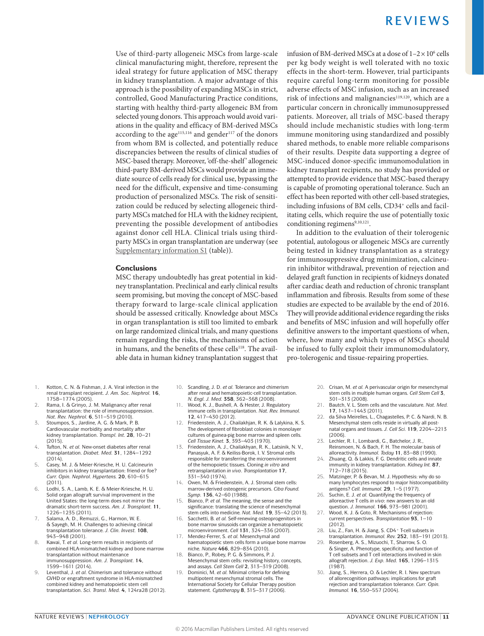Use of third-party allogeneic MSCs from large-scale clinical manufacturing might, therefore, represent the ideal strategy for future application of MSC therapy in kidney transplantation. A major advantage of this approach is the possibility of expanding MSCs in strict, controlled, Good Manufacturing Practice conditions, starting with healthy third-party allogeneic BM from selected young donors. This approach would avoid variations in the quality and efficacy of BM-derived MSCs according to the age<sup>115,116</sup> and gender<sup>117</sup> of the donors from whom BM is collected, and potentially reduce discrepancies between the results of clinical studies of MSC-based therapy. Moreover, 'off-the-shelf' allogeneic third-party BM-derived MSCs would provide an immediate source of cells ready for clinical use, bypassing the need for the difficult, expensive and time-consuming production of personalized MSCs. The risk of sensitization could be reduced by selecting allogeneic thirdparty MSCs matched for HLA with the kidney recipient, preventing the possible development of antibodies against donor cell HLA. Clinical trials using thirdparty MSCs in organ transplantation are underway (see [Supplementary information S1](http://www.nature.com/nrneph/journal/vaop/ncurrent/full/nrneph.2016.7.html#supplementary-information) (table)).

#### **Conclusions**

MSC therapy undoubtedly has great potential in kidney transplantation. Preclinical and early clinical results seem promising, but moving the concept of MSC-based therapy forward to large-scale clinical application should be assessed critically. Knowledge about MSCs in organ transplantation is still too limited to embark on large randomized clinical trials, and many questions remain regarding the risks, the mechanisms of action in humans, and the benefits of these cells<sup>118</sup>. The available data in human kidney transplantation suggest that

infusion of BM-derived MSCs at a dose of  $1-2 \times 10^6$  cells per kg body weight is well tolerated with no toxic effects in the short-term. However, trial participants require careful long-term monitoring for possible adverse effects of MSC infusion, such as an increased risk of infections and malignancies<sup>119,120</sup>, which are a particular concern in chronically immunosuppressed patients. Moreover, all trials of MSC-based therapy should include mechanistic studies with long-term immune monitoring using standardized and possibly shared methods, to enable more reliable comparisons of their results. Despite data supporting a degree of MSC-induced donor-specific immunomodulation in kidney transplant recipients, no study has provided or attempted to provide evidence that MSC-based therapy is capable of promoting operational tolerance. Such an effect has been reported with other cell-based strategies, including infusions of BM cells, CD34<sup>+</sup> cells and facilitating cells, which require the use of potentially toxic conditioning regimens<sup>9,10,121</sup>.

In addition to the evaluation of their tolerogenic potential, autologous or allogeneic MSCs are currently being tested in kidney transplantation as a strategy for immunosuppressive drug minimization, calcineurin inhibitor withdrawal, prevention of rejection and delayed graft function in recipients of kidneys donated after cardiac death and reduction of chronic transplant inflammation and fibrosis. Results from some of these studies are expected to be available by the end of 2016. They will provide additional evidence regarding the risks and benefits of MSC infusion and will hopefully offer definitive answers to the important questions of when, where, how many and which types of MSCs should be infused to fully exploit their immunomodulatory, pro-tolerogenic and tissue-repairing properties.

- 1. Kotton, C. N. & Fishman, J. A. Viral infection in the renal transplant recipient. *J. Am. Soc. Nephrol.* **16**, 1758–1774 (2005).
- 2. Rama, I. & Grinyo, J. M. Malignancy after renal transplantation: the role of immunosuppression. *Nat. Rev. Nephrol.* **6**, 511–519 (2010).
- 3. Stoumpos, S., Jardine, A. G. & Mark, P. B. Cardiovascular morbidity and mortality after kidney transplantation. *Transpl. Int.* **28**, 10–21 (2015).
- 4. Tufton, N. *et al.* New-onset diabetes after renal transplantation. *Diabet. Med.* **31**, 1284–1292 (2014).
- 5. Casey, M. J. & Meier-Kriesche, H. U. Calcineurin inhibitors in kidney transplantation: friend or foe? *Curr. Opin. Nephrol. Hypertens.* **20**, 610–615  $(2011)$
- 6. Lodhi, S. A., Lamb, K. E. & Meier-Kriesche, H. U. Solid organ allograft survival improvement in the United States: the long-term does not mirror the dramatic short-term success. *Am. J. Transplant.* **11**, 1226–1235 (2011).
- 7. Salama, A. D., Remuzzi, G., Harmon, W. E. & Sayegh, M. H. Challenges to achieving clinical transplantation tolerance. *J. Clin. Invest.* **108**, 943–948 (2001).
- Kawai, T. et al. Long-term results in recipients of combined HLA-mismatched kidney and bone marrow transplantation without maintenance immunosuppression. *Am. J. Transplant.* **14**, 1599–1611 (2014).
- Leventhal, J. et al. Chimerism and tolerance without GVHD or engraftment syndrome in HLA-mismatched combined kidney and hematopoietic stem cell transplantation. *Sci. Transl. Med.* **4**, 124ra28 (2012).
- 10. Scandling, J. D. *et al.* Tolerance and chimerism after renal and hematopoietic-cell transplantation. *N. Engl. J. Med.* **358**, 362–368 (2008).
- 11. Wood, K. J., Bushell, A. & Hester, J. Regulatory immune cells in transplantation. *Nat. Rev. Immunol.*  **12**, 417–430 (2012).
- 12. Friedenstein, A. J., Chailakhjan, R. K. & Lalykina, K. S. The development of fibroblast colonies in monolayer cultures of guinea-pig bone marrow and spleen cells. *Cell Tissue Kinet.* **3**, 393–403 (1970).
- 13. Friedenstein, A. J., Chailakhyan, R. K., Latsinik, N. V., Panasyuk, A. F. & Keiliss-Borok, I. V. Stromal cells responsible for transferring the microenvironment of the hemopoietic tissues. Cloning *in vitro* and retransplantation *in vivo*. *Transplantation* **17**, 331–340 (1974).
- 14. Owen, M. & Friedenstein, A. J. Stromal stem cells: marrow-derived osteogenic precursors. *Ciba Found. Symp.* **136**, 42–60 (1988).
- 15. Bianco, P. *et al.* The meaning, the sense and the significance: translating the science of mesenchymal stem cells into medicine. *Nat. Med.* **19**, 35–42 (2013).
- 16. Sacchetti, B. *et al.* Self-renewing osteoprogenitors in bone marrow sinusoids can organize a hematopoietic microenvironment. *Cell* **131**, 324–336 (2007).
- 17. Mendez-Ferrer, S. *et al.* Mesenchymal and haematopoietic stem cells form a unique bone marrow niche. *Nature* **466**, 829–834 (2010).
- 18. Bianco, P., Robey, P. G. & Simmons, P. J. Mesenchymal stem cells: revisiting history, concepts, and assays. *Cell Stem Cell* **2**, 313–319 (2008).
- 19. Dominici, M. *et al.* Minimal criteria for defining multipotent mesenchymal stromal cells. The International Society for Cellular Therapy position statement. *Cytotherapy* **8**, 315–317 (2006).
- 20. Crisan, M. *et al.* A perivascular origin for mesenchymal stem cells in multiple human organs. *Cell Stem Cell* **3**, 301–313 (2008).
- 21. Bautch, V. L. Stem cells and the vasculature. *Nat. Med.*  **17**, 1437–1443 (2011).
- 22. da Silva Meirelles, L., Chagastelles, P. C. & Nardi, N. B. Mesenchymal stem cells reside in virtually all postnatal organs and tissues. *J. Cell Sci.* **119**, 2204–2213 (2006).
- 23. Lechler, R. I., Lombardi, G., Batchelor, J. R., Reinsmoen, N. & Bach, F. H. The molecular basis of alloreactivity. *Immunol. Today* **11**, 83–88 (1990).
- 24. Zhuang, Q. & Lakkis, F. G. Dendritic cells and innate immunity in kidney transplantation. *Kidney Int.* **87**, 712–718 (2015).
- 25. Matzinger, P. & Bevan, M. J. Hypothesis: why do so many lymphocytes respond to major histocompatibility antigens? *Cell. Immunol.* **29**, 1–5 (1977).
- 26. Suchin, E. J. *et al.* Quantifying the frequency of alloreactive T cells *in vivo*: new answers to an old question. *J. Immunol.* **166**, 973–981 (2001).
- 27. Wood, K. J. & Goto, R. Mechanisms of rejection: current perspectives. *Transplantation* **93**, 1–10 (2012).
- 28. Liu, Z., Fan, H. & Jiang, S. CD4+ T-cell subsets in transplantation. *Immunol. Rev.* **252**, 183–191 (2013).
- 29. Rosenberg, A. S., Mizuochi, T., Sharrow, S. O. & Singer, A. Phenotype, specificity, and function of T cell subsets and T cell interactions involved in skin allograft rejection. *J. Exp. Med.* **165**, 1296–1315 (1987).
- 30. Jiang, S., Herrera, O. & Lechler, R. I. New spectrum of allorecognition pathways: implications for graft rejection and transplantation tolerance. *Curr. Opin. Immunol.* **16**, 550–557 (2004).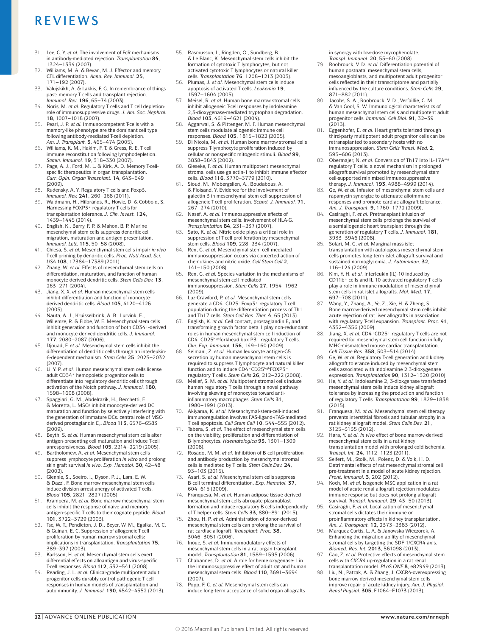- 31. Lee, C. Y. *et al.* The involvement of FcR mechanisms in antibody-mediated rejection. *Transplantation* **84**, 1324–1334 (2007).
- 32. Williams, M. A. & Bevan, M. J. Effector and memory CTL differentiation. *Annu. Rev. Immunol.* **25**, 171–192 (2007).
- 33. Valujskikh, A. & Lakkis, F. G. In remembrance of things past: memory T cells and transplant rejection. *Immunol. Rev.* **196**, 65–74 (2003).
- 34. Noris, M. *et al.* Regulatory T cells and T cell depletion: role of immunosuppressive drugs. *J. Am. Soc. Nephrol.*  **18**, 1007–1018 (2007).
- 35. Pearl, J. P. *et al.* Immunocompetent T-cells with a memory-like phenotype are the dominant cell type following antibody-mediated T-cell depletion. *Am. J. Transplant.* **5**, 465–474 (2005).
- 36. Williams, K. M., Hakim, F. T. & Gress, R. E. T cell immune reconstitution following lymphodepletion. *Semin. Immunol.* **19**, 318–330 (2007).
- 37. Page, A. J., Ford, M. L. & Kirk, A. D. Memory T-cellspecific therapeutics in organ transplantation. *Curr. Opin. Organ Transplant.* **14**, 643–649 (2009).
- 38. Rudensky, A. Y. Regulatory T cells and Foxp3.
- *Immunol. Rev.* **241**, 260–268 (2011). 39. Waldmann, H., Hilbrands, R., Howie, D. & Cobbold, S. Harnessing FOXP3+ regulatory T cells for transplantation tolerance. *J. Clin. Invest.* **124**, 1439–1445 (2014).
- 40. English, K., Barry, F. P. & Mahon, B. P. Murine mesenchymal stem cells suppress dendritic cell migration, maturation and antigen presentation. *Immunol. Lett.* **115**, 50–58 (2008).
- 41. Chiesa, S. *et al.* Mesenchymal stem cells impair *in vivo* T-cell priming by dendritic cells. *Proc. Natl Acad. Sci. USA* **108**, 17384–17389 (2011).
- 42. Zhang, W. *et al.* Effects of mesenchymal stem cells on differentiation, maturation, and function of human monocyte-derived dendritic cells. *Stem Cells Dev.* **13**, 263–271 (2004).
- 43. Jiang, X. X. *et al.* Human mesenchymal stem cells inhibit differentiation and function of monocyte-derived dendritic cells. *Blood* **105**, 4120–4126 (2005).
- 44. Nauta, A. J., Kruisselbrink, A. B., Lurvink, E., Willemze, R. & Fibbe, W. E. Mesenchymal stem cells inhibit generation and function of both CD34+-derived and monocyte-derived dendritic cells. *J. Immunol.*  **177**, 2080–2087 (2006).
- 45. Djouad, F. *et al.* Mesenchymal stem cells inhibit the differentiation of dendritic cells through an interleukin-6-dependent mechanism. *Stem Cells* **25**, 2025–2032 (2007). 46. Li, Y. P. *et al.* Human mesenchymal stem cells license
- adult CD34+ hemopoietic progenitor cells to differentiate into regulatory dendritic cells through activation of the Notch pathway. *J. Immunol.* **180**,
- 1598–1608 (2008). 47. Spaggiari, G. M., Abdelrazik, H., Becchetti, F. & Moretta, L. MSCs inhibit monocyte-derived DC maturation and function by selectively interfering with the generation of immature DCs: central role of MSCderived prostaglandin E2. *Blood* **113**, 6576–6583
- (2009). 48. Beyth, S. *et al.* Human mesenchymal stem cells alter antigen-presenting cell maturation and induce T-cell unresponsiveness. *Blood* **105**, 2214–2219 (2005).
- 49. Bartholomew, A. *et al.* Mesenchymal stem cells suppress lymphocyte proliferation *in vitro* and prolong skin graft survival *in vivo*. *Exp. Hematol.* **30**, 42–48  $(2002)$ .
- 50. Glennie, S., Soeiro, I., Dyson, P. J., Lam, E. W. & Dazzi, F. Bone marrow mesenchymal stem cells induce division arrest anergy of activated T cells. *Blood* **105**, 2821–2827 (2005).
- 51. Krampera, M. *et al.* Bone marrow mesenchymal stem cells inhibit the response of naive and memory antigen-specific T cells to their cognate peptide. *Blood*  **101**, 3722–3729 (2003).
- 52. Tse, W. T., Pendleton, J. D., Beyer, W. M., Egalka, M. C. & Guinan, E. C. Suppression of allogeneic T-cell proliferation by human marrow stromal cells: implications in transplantation. *Transplantation* **75**, 389–397 (2003).
- 53. Karlsson, H. *et al.* Mesenchymal stem cells exert differential effects on alloantigen and virus-specific T-cell responses. *Blood* **112**, 532–541 (2008).
- 54. Reading, J. L. *et al.* Clinical-grade multipotent adult progenitor cells durably control pathogenic T cell responses in human models of transplantation and autoimmunity. *J. Immunol.* **190**, 4542–4552 (2013).
- 55. Rasmusson, I., Ringden, O., Sundberg, B. & Le Blanc, K. Mesenchymal stem cells inhibit the formation of cytotoxic T lymphocytes, but not activated cytotoxic T lymphocytes or natural killer cells. *Transplantation* **76**, 1208–1213 (2003).
- 56. Plumas, J. *et al.* Mesenchymal stem cells induce apoptosis of activated T cells. *Leukemia* **19**, 1597–1604 (2005).
- 57. Meisel, R. *et al.* Human bone marrow stromal cells inhibit allogeneic T-cell responses by indoleamine 2,3-dioxygenase-mediated tryptophan degradation. *Blood* **103**, 4619–4621 (2004).
- 58. Aggarwal, S. & Pittenger, M. F. Human mesenchymal stem cells modulate allogeneic immune cell responses. *Blood* **105**, 1815–1822 (2005).
- 59. Di Nicola, M. *et al.* Human bone marrow stromal cells suppress T-lymphocyte proliferation induced by cellular or nonspecific mitogenic stimuli. *Blood* **99**, 3838–3843 (2002).
- 60. Gieseke, F. *et al.* Human multipotent mesenchymal stromal cells use galectin-1 to inhibit immune effector cells. *Blood* **116**, 3770–3779 (2010).
- 61. Sioud, M., Mobergslien, A., Boudabous, A. & Floisand, Y. Evidence for the involvement of galectin-3 in mesenchymal stem cell suppression of allogeneic T-cell proliferation. *Scand. J. Immunol.* **71**, 267–274 (2010).
- 62. Nasef, A. *et al.* Immunosuppressive effects of mesenchymal stem cells: involvement of HLA-G. *Transplantation* **84**, 231–237 (2007).
- 63. Sato, K. *et al.* Nitric oxide plays a critical role in suppression of T-cell proliferation by mesenchymal stem cells. *Blood* **109**, 228–234 (2007).
- 64. Ren, G. *et al.* Mesenchymal stem cell-mediated immunosuppression occurs via concerted action of chemokines and nitric oxide. *Cell Stem Cell* **2**, 141–150 (2008).
- 65. Ren, G. *et al.* Species variation in the mechanisms of mesenchymal stem cell-mediated immunosuppression. *Stem Cells* **27**, 1954–1962 (2009).
- 66. Luz-Crawford, P. *et al.* Mesenchymal stem cells generate a CD4+CD25+Foxp3+ regulatory T cell population during the differentiation process of Th1 and Th17 cells. *Stem Cell Res. Ther.* **4**, 65 (2013).
- English, K. et al. Cell contact, prostaglandin E<sub>2</sub> and transforming growth factor beta 1 play non-redundant roles in human mesenchymal stem cell induction of<br>CD4+CD25<sup>High</sup>forkhead box P3+ regulatory T cells. *Clin. Exp. Immunol.* **156**, 149–160 (2009).
- 68. Selmani, Z. *et al.* Human leukocyte antigen-G5 secretion by human mesenchymal stem cells is required to suppress T lymphocyte and natural killer function and to induce CD4 + CD25highFOXP3 + regulatory T cells. *Stem Cells* **26**, 212–222 (2008).
- Melief, S. M. *et al.* Multipotent stromal cells induce human regulatory T cells through a novel pathway involving skewing of monocytes toward anti-inflammatory macrophages. *Stem Cells* **31**, 1980–1991 (2013).
- 70. Akiyama, K. *et al.* Mesenchymal-stem-cell-induced immunoregulation involves FAS-ligand-/FAS-mediated T cell apoptosis. *Cell Stem Cell* **10**, 544–555 (2012).
- 71. Tabera, S. *et al.* The effect of mesenchymal stem cells on the viability, proliferation and differentiation of B-lymphocytes. *Haematologica* **93**, 1301–1309 (2008).
- Rosado, M. M. *et al.* Inhibition of B-cell proliferation and antibody production by mesenchymal stromal cells is mediated by T cells. *Stem Cells Dev.* **24**, 93–103 (2015).
- Asari, S. et al. Mesenchymal stem cells suppress B-cell terminal differentiation. *Exp. Hematol.* **37**, 604–615 (2009).
- 74. Franquesa, M. *et al.* Human adipose tissue-derived mesenchymal stem cells abrogate plasmablast formation and induce regulatory B cells independently of T helper cells. *Stem Cells* **33**, 880–891 (2015).
- 75. Zhou, H. P. *et al.* Administration of donor-derived mesenchymal stem cells can prolong the survival of rat cardiac allograft. *Transplant. Proc.* **38**, 3046–3051 (2006).
- 76. Inoue, S. *et al.* Immunomodulatory effects of mesenchymal stem cells in a rat organ transplant model. *Transplantation* **81**, 1589–1595 (2006).
- 77. Chabannes, D. *et al.* A role for heme oxygenase-1 in the immunosuppressive effect of adult rat and human mesenchymal stem cells. *Blood* **110**, 3691–3694 (2007).
- 78. Popp, F. C. *et al.* Mesenchymal stem cells can induce long-term acceptance of solid organ allografts

in synergy with low-dose mycophenolate. *Transpl. Immunol.* **20**, 55–60 (2008).

- 79. Roobrouck, V. D. *et al.* Differentiation potential of human postnatal mesenchymal stem cells, mesoangioblasts, and multipotent adult progenitor cells reflected in their transcriptome and partially influenced by the culture conditions. *Stem Cells* **29**, 871–882 (2011).
- 80. Jacobs, S. A., Roobrouck, V. D., Verfaillie, C. M. & Van Gool, S. W. Immunological characteristics of human mesenchymal stem cells and multipotent adult progenitor cells. *Immunol. Cell Biol.* **91**, 32–39  $(2013)$
- 81. Eggenhofer, E. *et al.* Heart grafts tolerized through third-party multipotent adult progenitor cells can be retransplanted to secondary hosts with no immunosuppression. *Stem Cells Transl. Med.* **2**, 595–606 (2013).
- 82. Obermajer, N. et al. Conversion of Th17 into IL-17A<sup>neg</sup> regulatory T cells: a novel mechanism in prolonged allograft survival promoted by mesenchymal stem cell-supported minimized immunosuppressive therapy. *J. Immunol.* **193**, 4988–4999 (2014).
- Ge, W. et al. Infusion of mesenchymal stem cells and rapamycin synergize to attenuate alloimmune responses and promote cardiac allograft tolerance. *Am. J. Transplant.* **9**, 1760–1772 (2009).
- 84. Casiraghi, F. *et al.* Pretransplant infusion of mesenchymal stem cells prolongs the survival of a semiallogeneic heart transplant through the generation of regulatory T cells. *J. Immunol.* **181**, 3933–3946 (2008).
- 85. Solari, M. G. *et al.* Marginal mass islet transplantation with autologous mesenchymal stem cells promotes long-term islet allograft survival and sustained normoglycemia. *J. Autoimmun.* **32**, 116–124 (2009).
- 86. Kim, Y. H. *et al.* Interleukin (IL)-10 induced by CD11b+ cells and IL-10-activated regulatory T cells play a role in immune modulation of mesenchymal stem cells in rat islet allografts. *Mol. Med.* **17**,
- 697–708 (2011). 87. Wang, Y., Zhang, A., Ye, Z., Xie, H. & Zheng, S. Bone marrow-derived mesenchymal stem cells inhibit acute rejection of rat liver allografts in association with regulatory T-cell expansion. *Transplant. Proc.* **41**, 4352–4356 (2009).
- 88. Jiang, X. *et al.* CD4  $\text{CD25}$  + regulatory T cells are not required for mesenchymal stem cell function in fully MHC-mismatched mouse cardiac transplantation. *Cell Tissue Res.* **358**, 503–514 (2014).
- 89. Ge, W. *et al.* Regulatory T-cell generation and kidney allograft tolerance induced by mesenchymal stem cells associated with indoleamine 2,3-dioxygenase expression. *Transplantation* **90**, 1312–1320 (2010).
- 90. He, Y. *et al.* Indoleamine 2, 3-dioxgenase transfected mesenchymal stem cells induce kidney allograft tolerance by increasing the production and function of regulatory T cells. *Transplantation* **99**, 1829–1838 (2015).
- Franquesa, M. et al. Mesenchymal stem cell therapy prevents interstitial fibrosis and tubular atrophy in a rat kidney allograft model. *Stem Cells Dev.* **21**,
- 3125–3135 (2012). 92. Hara, Y. *et al. In vivo* effect of bone marrow-derived mesenchymal stem cells in a rat kidney transplantation model with prolonged cold ischemia. *Transpl. Int.* **24**, 1112–1123 (2011).
- 93. Seifert, M., Stolk, M., Polenz, D. & Volk, H. D. Detrimental effects of rat mesenchymal stromal cell pre-treatment in a model of acute kidney rejection. *Front. Immunol.* **3**, 202 (2012).
- 94. Koch, M. *et al.* Isogeneic MSC application in a rat model of acute renal allograft rejection modulates immune response but does not prolong allograft survival. *Transpl. Immunol.* **29**, 43–50 (2013).
- 95. Casiraghi, F. *et al.* Localization of mesenchymal stromal cells dictates their immune or proinflammatory effects in kidney transplantation. *Am. J. Transplant.* **12**, 2373–2383 (2012).
- 96. Marquez-Curtis, L. A. & Janowska-Wieczorek, A. Enhancing the migration ability of mesenchymal stromal cells by targeting the SDF-1/CXCR4 axis. *Biomed. Res. Int.* **2013**, 561098 (2013).
- Cao, Z. et al. Protective effects of mesenchymal stem cells with *CXCR4* up-regulation in a rat renal transplantation model. *PLoS ONE* **8**, e82949 (2013).
- 98. Liu, N., Patzak, A. & Zhang, J. CXCR4-overexpressing bone marrow-derived mesenchymal stem cells improve repair of acute kidney injury. *Am. J. Physiol. Renal Physiol.* **305**, F1064–F1073 (2013).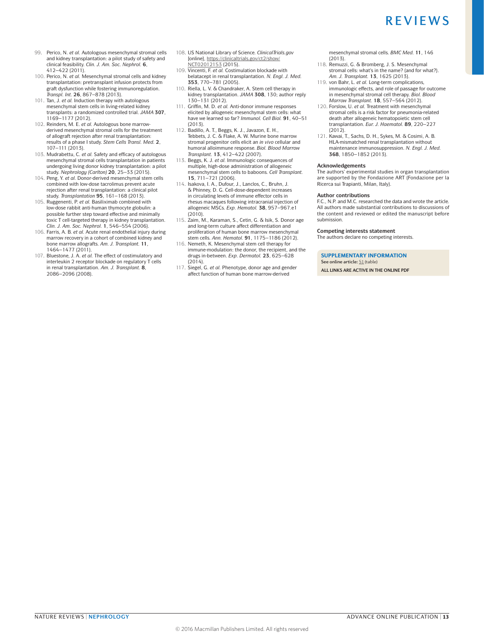- 99. Perico, N. *et al.* Autologous mesenchymal stromal cells and kidney transplantation: a pilot study of safety and clinical feasibility. *Clin. J. Am. Soc. Nephrol.* **6**, 412–422 (2011).
- 100. Perico, N. *et al.* Mesenchymal stromal cells and kidney transplantation: pretransplant infusion protects from graft dysfunction while fostering immunoregulation. *Transpl. Int.* **26**, 867–878 (2013).
- 101. Tan, J. *et al.* Induction therapy with autologous mesenchymal stem cells in living-related kidney transplants: a randomized controlled trial. *JAMA* **307**, 1169–1177 (2012).
- 102. Reinders, M. E. *et al.* Autologous bone marrowderived mesenchymal stromal cells for the treatment of allograft rejection after renal transplantation: results of a phase I study. *Stem Cells Transl. Med.* **2**, 107–111 (2013).
- 103. Mudrabettu, C. *et al.* Safety and efficacy of autologous mesenchymal stromal cells transplantation in patients undergoing living donor kidney transplantation: a pilot
- study. *Nephrology (Carlton)* **20**, 25–33 (2015). 104. Peng, Y. *et al.* Donor-derived mesenchymal stem cells combined with low-dose tacrolimus prevent acute rejection after renal transplantation: a clinical pilot
- study. *Transplantation* **95**, 161–168 (2013). 105. Ruggenenti, P. *et al.* Basiliximab combined with low-dose rabbit anti-human thymocyte globulin: a possible further step toward effective and minimally toxic T cell-targeted therapy in kidney transplantation. *Clin. J. Am. Soc. Nephrol.* **1**, 546–554 (2006).
- 106. Farris, A. B. *et al.* Acute renal endothelial injury during marrow recovery in a cohort of combined kidney and bone marrow allografts. *Am. J. Transplant.* **11**, 1464–1477 (2011).
- 107. Bluestone, J. A. *et al.* The effect of costimulatory and interleukin 2 receptor blockade on regulatory T cells in renal transplantation. *Am. J. Transplant.* **8**, 2086–2096 (2008).
- 108. US National Library of Science. *ClinicalTrials.gov*  [online], [https://clinicaltrials.gov/ct2/show/](https://clinicaltrials.gov/ct2/show/NCT02012153) [NCT02012153](https://clinicaltrials.gov/ct2/show/NCT02012153) (2015).
- 109. Vincenti, F. *et al.* Costimulation blockade with belatacept in renal transplantation. *N. Engl. J. Med.*  **353**, 770–781 (2005).
- 110. Riella, L. V. & Chandraker, A. Stem cell therapy in kidney transplantation. *JAMA* **308**, 130; author reply 130–131 (2012).
- 111. Griffin, M. D. *et al.* Anti-donor immune responses elicited by allogeneic mesenchymal stem cells: what have we learned so far? *Immunol. Cell Biol.* **91**, 40–51 (2013).
- 112. Badillo, A. T., Beggs, K. J., Javazon, E. H., Tebbets, J. C. & Flake, A. W. Murine bone marrow stromal progenitor cells elicit an *in vivo* cellular and humoral alloimmune response. *Biol. Blood Marrow Transplant.* **13**, 412–422 (2007).
- 113. Beggs, K. J. *et al.* Immunologic consequences of multiple, high-dose administration of allogeneic mesenchymal stem cells to baboons. *Cell Transplant.*  **15**, 711–721 (2006).
- 114. Isakova, I. A., Dufour, J., Lanclos, C., Bruhn, J. & Phinney, D. G. Cell-dose-dependent increases in circulating levels of immune effector cells in rhesus macaques following intracranial injection of allogeneic MSCs. *Exp. Hematol.* **38**, 957–967.e1 (2010).
- 115. Zaim, M., Karaman, S., Cetin, G. & Isik, S. Donor age and long-term culture affect differentiation and proliferation of human bone marrow mesenchymal stem cells. *Ann. Hematol.* **91**, 1175–1186 (2012).
- 116. Nemeth, K. Mesenchymal stem cell therapy for immune-modulation: the donor, the recipient, and the drugs in-between. *Exp. Dermatol.* **23**, 625–628 (2014).
- 117. Siegel, G. *et al.* Phenotype, donor age and gender affect function of human bone marrow-derived

mesenchymal stromal cells. *BMC Med.* **11**, 146 (2013).

- 118. Remuzzi, G. & Bromberg, J. S. Mesenchymal stromal cells: what's in the name? (and for what?). *Am. J. Transplant.* **13**, 1625 (2013).
- 119. von Bahr, L. *et al.* Long-term complications, immunologic effects, and role of passage for outcome in mesenchymal stromal cell therapy. *Biol. Blood Marrow Transplant.* **18**, 557–564 (2012).
- 120. Forslow, U. *et al.* Treatment with mesenchymal stromal cells is a risk factor for pneumonia-related death after allogeneic hematopoietic stem cell transplantation. *Eur. J. Haematol.* **89**, 220–227 (2012).
- 121. Kawai, T., Sachs, D. H., Sykes, M. & Cosimi, A. B. HLA-mismatched renal transplantation without maintenance immunosuppression. *N. Engl. J. Med.*  **368**, 1850–1852 (2013).

#### **Acknowledgements**

The authors' experimental studies in organ transplantation are supported by the Fondazione ART (Fondazione per la Ricerca sui Trapianti, Milan, Italy).

#### **Author contributions**

F.C., N.P. and M.C. researched the data and wrote the article. All authors made substantial contributions to discussions of the content and reviewed or edited the manuscript before submission.

#### **Competing interests statement**

The authors declare no competing interests.

#### SUPPLEMENTARY INFORMATION

See online article: [S1](http://www.nature.com/nrneph/journal/vaop/ncurrent/full/nrneph.2016.7.html#supplementary-information) (table) **ALL LINKS ARE ACTIVE IN THE ONLINE PDF**